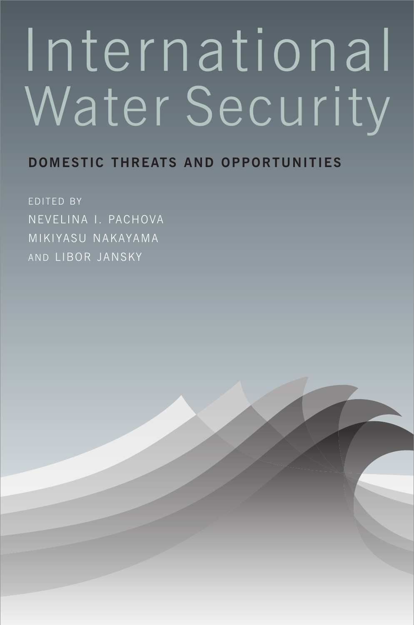# International Water Security

## **DOMESTIC THREATS AND OPPORTUNITIES**

EDITED BY NEVELINA I. PACHOVA MIKIYASU NAKAYAMA AND LIBOR JANSKY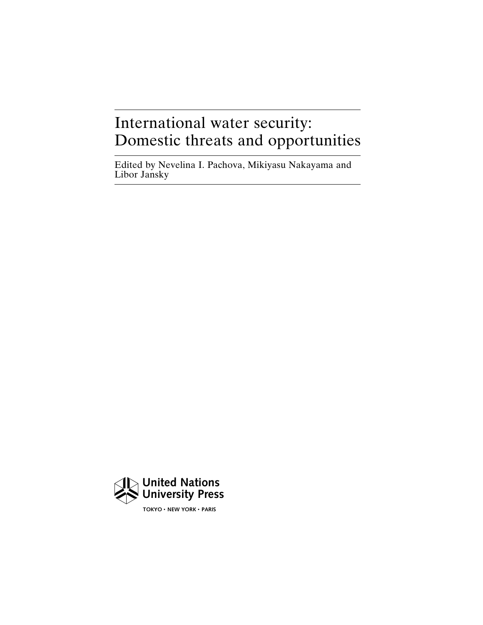## International water security: Domestic threats and opportunities

Edited by Nevelina I. Pachova, Mikiyasu Nakayama and Libor Jansky



 $TOKYO \cdot NEW YORK \cdot PARIS$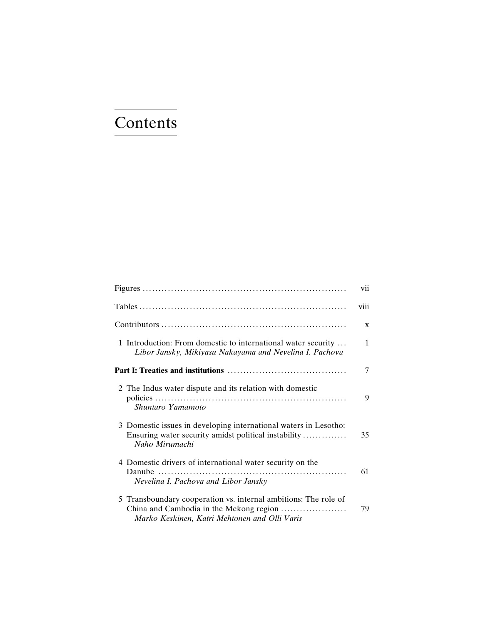## Contents

|                                                                                                                                            | V11          |
|--------------------------------------------------------------------------------------------------------------------------------------------|--------------|
|                                                                                                                                            | viii         |
|                                                                                                                                            | X            |
| 1 Introduction: From domestic to international water security<br>Libor Jansky, Mikiyasu Nakayama and Nevelina I. Pachova                   | $\mathbf{1}$ |
|                                                                                                                                            | 7            |
| 2 The Indus water dispute and its relation with domestic<br>Shuntaro Yamamoto                                                              | 9            |
| 3 Domestic issues in developing international waters in Lesotho:<br>Ensuring water security amidst political instability<br>Naho Mirumachi | 35           |
| 4 Domestic drivers of international water security on the<br>Nevelina I. Pachova and Libor Jansky                                          | 61           |
| 5 Transboundary cooperation vs. internal ambitions: The role of<br>Marko Keskinen, Katri Mehtonen and Olli Varis                           | 79           |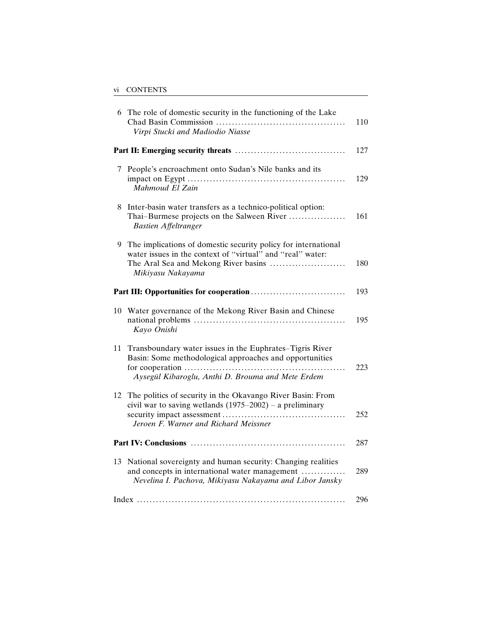#### vi CONTENTS

| 6  | The role of domestic security in the functioning of the Lake<br>Virpi Stucki and Madiodio Niasse                                                                         | 110 |
|----|--------------------------------------------------------------------------------------------------------------------------------------------------------------------------|-----|
|    |                                                                                                                                                                          | 127 |
| 7  | People's encroachment onto Sudan's Nile banks and its<br>Mahmoud El Zain                                                                                                 | 129 |
| 8  | Inter-basin water transfers as a technico-political option:<br>Thai-Burmese projects on the Salween River<br><b>Bastien Affeltranger</b>                                 | 161 |
| 9  | The implications of domestic security policy for international<br>water issues in the context of "virtual" and "real" water:<br>Mikiyasu Nakayama                        | 180 |
|    |                                                                                                                                                                          | 193 |
| 10 | Water governance of the Mekong River Basin and Chinese<br>Kayo Onishi                                                                                                    | 195 |
| 11 | Transboundary water issues in the Euphrates–Tigris River<br>Basin: Some methodological approaches and opportunities<br>Aysegül Kibaroglu, Anthi D. Brouma and Mete Erdem | 223 |
| 12 | The politics of security in the Okavango River Basin: From<br>civil war to saving wetlands $(1975-2002)$ - a preliminary<br>Jeroen F. Warner and Richard Meissner        | 252 |
|    |                                                                                                                                                                          | 287 |
| 13 | National sovereignty and human security: Changing realities<br>and concepts in international water management<br>Nevelina I. Pachova, Mikiyasu Nakayama and Libor Jansky | 289 |
|    |                                                                                                                                                                          | 296 |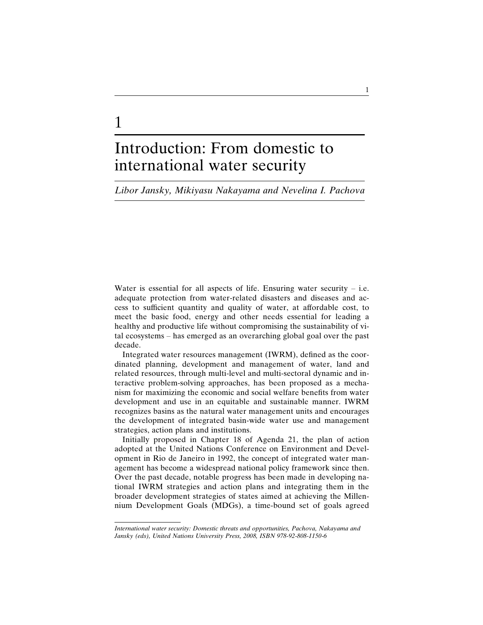## Introduction: From domestic to international water security

1

Libor Jansky, Mikiyasu Nakayama and Nevelina I. Pachova

Water is essential for all aspects of life. Ensuring water security  $-$  i.e. adequate protection from water-related disasters and diseases and access to sufficient quantity and quality of water, at affordable cost, to meet the basic food, energy and other needs essential for leading a healthy and productive life without compromising the sustainability of vital ecosystems – has emerged as an overarching global goal over the past decade.

Integrated water resources management (IWRM), defined as the coordinated planning, development and management of water, land and related resources, through multi-level and multi-sectoral dynamic and interactive problem-solving approaches, has been proposed as a mechanism for maximizing the economic and social welfare benefits from water development and use in an equitable and sustainable manner. IWRM recognizes basins as the natural water management units and encourages the development of integrated basin-wide water use and management strategies, action plans and institutions.

Initially proposed in Chapter 18 of Agenda 21, the plan of action adopted at the United Nations Conference on Environment and Development in Rio de Janeiro in 1992, the concept of integrated water management has become a widespread national policy framework since then. Over the past decade, notable progress has been made in developing national IWRM strategies and action plans and integrating them in the broader development strategies of states aimed at achieving the Millennium Development Goals (MDGs), a time-bound set of goals agreed

International water security: Domestic threats and opportunities, Pachova, Nakayama and Jansky (eds), United Nations University Press, 2008, ISBN 978-92-808-1150-6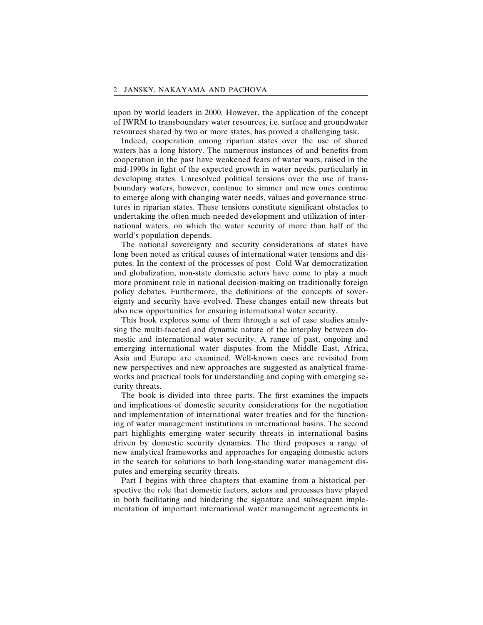upon by world leaders in 2000. However, the application of the concept of IWRM to transboundary water resources, i.e. surface and groundwater resources shared by two or more states, has proved a challenging task.

Indeed, cooperation among riparian states over the use of shared waters has a long history. The numerous instances of and benefits from cooperation in the past have weakened fears of water wars, raised in the mid-1990s in light of the expected growth in water needs, particularly in developing states. Unresolved political tensions over the use of transboundary waters, however, continue to simmer and new ones continue to emerge along with changing water needs, values and governance structures in riparian states. These tensions constitute significant obstacles to undertaking the often much-needed development and utilization of international waters, on which the water security of more than half of the world's population depends.

The national sovereignty and security considerations of states have long been noted as critical causes of international water tensions and disputes. In the context of the processes of post–Cold War democratization and globalization, non-state domestic actors have come to play a much more prominent role in national decision-making on traditionally foreign policy debates. Furthermore, the definitions of the concepts of sovereignty and security have evolved. These changes entail new threats but also new opportunities for ensuring international water security.

This book explores some of them through a set of case studies analysing the multi-faceted and dynamic nature of the interplay between domestic and international water security. A range of past, ongoing and emerging international water disputes from the Middle East, Africa, Asia and Europe are examined. Well-known cases are revisited from new perspectives and new approaches are suggested as analytical frameworks and practical tools for understanding and coping with emerging security threats.

The book is divided into three parts. The first examines the impacts and implications of domestic security considerations for the negotiation and implementation of international water treaties and for the functioning of water management institutions in international basins. The second part highlights emerging water security threats in international basins driven by domestic security dynamics. The third proposes a range of new analytical frameworks and approaches for engaging domestic actors in the search for solutions to both long-standing water management disputes and emerging security threats.

Part I begins with three chapters that examine from a historical perspective the role that domestic factors, actors and processes have played in both facilitating and hindering the signature and subsequent implementation of important international water management agreements in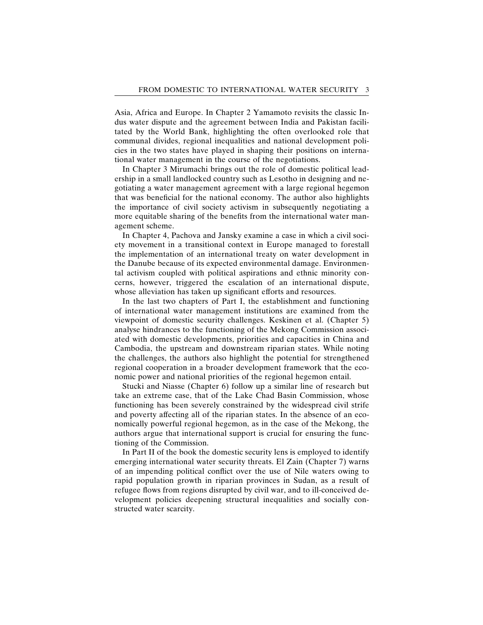Asia, Africa and Europe. In Chapter 2 Yamamoto revisits the classic Indus water dispute and the agreement between India and Pakistan facilitated by the World Bank, highlighting the often overlooked role that communal divides, regional inequalities and national development policies in the two states have played in shaping their positions on international water management in the course of the negotiations.

In Chapter 3 Mirumachi brings out the role of domestic political leadership in a small landlocked country such as Lesotho in designing and negotiating a water management agreement with a large regional hegemon that was beneficial for the national economy. The author also highlights the importance of civil society activism in subsequently negotiating a more equitable sharing of the benefits from the international water management scheme.

In Chapter 4, Pachova and Jansky examine a case in which a civil society movement in a transitional context in Europe managed to forestall the implementation of an international treaty on water development in the Danube because of its expected environmental damage. Environmental activism coupled with political aspirations and ethnic minority concerns, however, triggered the escalation of an international dispute, whose alleviation has taken up significant efforts and resources.

In the last two chapters of Part I, the establishment and functioning of international water management institutions are examined from the viewpoint of domestic security challenges. Keskinen et al. (Chapter 5) analyse hindrances to the functioning of the Mekong Commission associated with domestic developments, priorities and capacities in China and Cambodia, the upstream and downstream riparian states. While noting the challenges, the authors also highlight the potential for strengthened regional cooperation in a broader development framework that the economic power and national priorities of the regional hegemon entail.

Stucki and Niasse (Chapter 6) follow up a similar line of research but take an extreme case, that of the Lake Chad Basin Commission, whose functioning has been severely constrained by the widespread civil strife and poverty affecting all of the riparian states. In the absence of an economically powerful regional hegemon, as in the case of the Mekong, the authors argue that international support is crucial for ensuring the functioning of the Commission.

In Part II of the book the domestic security lens is employed to identify emerging international water security threats. El Zain (Chapter 7) warns of an impending political conflict over the use of Nile waters owing to rapid population growth in riparian provinces in Sudan, as a result of refugee flows from regions disrupted by civil war, and to ill-conceived development policies deepening structural inequalities and socially constructed water scarcity.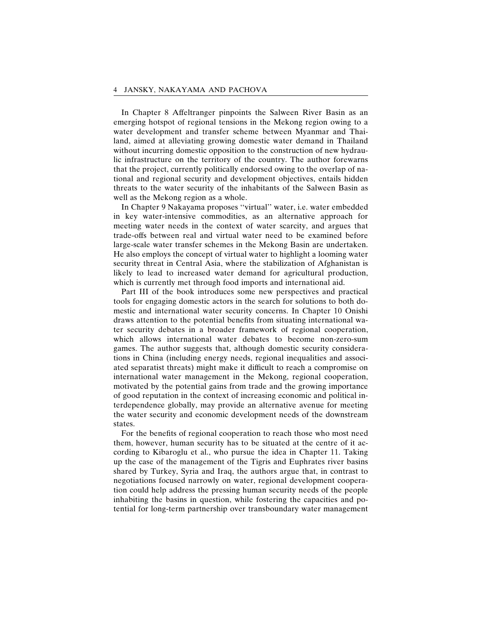In Chapter 8 Affeltranger pinpoints the Salween River Basin as an emerging hotspot of regional tensions in the Mekong region owing to a water development and transfer scheme between Myanmar and Thailand, aimed at alleviating growing domestic water demand in Thailand without incurring domestic opposition to the construction of new hydraulic infrastructure on the territory of the country. The author forewarns that the project, currently politically endorsed owing to the overlap of national and regional security and development objectives, entails hidden threats to the water security of the inhabitants of the Salween Basin as well as the Mekong region as a whole.

In Chapter 9 Nakayama proposes ''virtual'' water, i.e. water embedded in key water-intensive commodities, as an alternative approach for meeting water needs in the context of water scarcity, and argues that trade-offs between real and virtual water need to be examined before large-scale water transfer schemes in the Mekong Basin are undertaken. He also employs the concept of virtual water to highlight a looming water security threat in Central Asia, where the stabilization of Afghanistan is likely to lead to increased water demand for agricultural production, which is currently met through food imports and international aid.

Part III of the book introduces some new perspectives and practical tools for engaging domestic actors in the search for solutions to both domestic and international water security concerns. In Chapter 10 Onishi draws attention to the potential benefits from situating international water security debates in a broader framework of regional cooperation, which allows international water debates to become non-zero-sum games. The author suggests that, although domestic security considerations in China (including energy needs, regional inequalities and associated separatist threats) might make it difficult to reach a compromise on international water management in the Mekong, regional cooperation, motivated by the potential gains from trade and the growing importance of good reputation in the context of increasing economic and political interdependence globally, may provide an alternative avenue for meeting the water security and economic development needs of the downstream states.

For the benefits of regional cooperation to reach those who most need them, however, human security has to be situated at the centre of it according to Kibaroglu et al., who pursue the idea in Chapter 11. Taking up the case of the management of the Tigris and Euphrates river basins shared by Turkey, Syria and Iraq, the authors argue that, in contrast to negotiations focused narrowly on water, regional development cooperation could help address the pressing human security needs of the people inhabiting the basins in question, while fostering the capacities and potential for long-term partnership over transboundary water management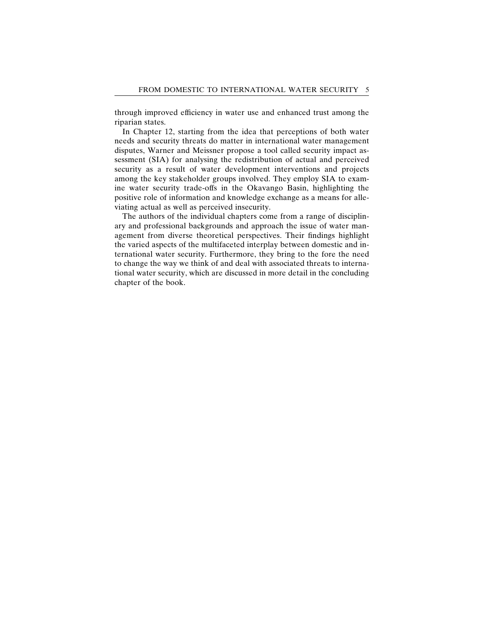through improved efficiency in water use and enhanced trust among the riparian states.

In Chapter 12, starting from the idea that perceptions of both water needs and security threats do matter in international water management disputes, Warner and Meissner propose a tool called security impact assessment (SIA) for analysing the redistribution of actual and perceived security as a result of water development interventions and projects among the key stakeholder groups involved. They employ SIA to examine water security trade-offs in the Okavango Basin, highlighting the positive role of information and knowledge exchange as a means for alleviating actual as well as perceived insecurity.

The authors of the individual chapters come from a range of disciplinary and professional backgrounds and approach the issue of water management from diverse theoretical perspectives. Their findings highlight the varied aspects of the multifaceted interplay between domestic and international water security. Furthermore, they bring to the fore the need to change the way we think of and deal with associated threats to international water security, which are discussed in more detail in the concluding chapter of the book.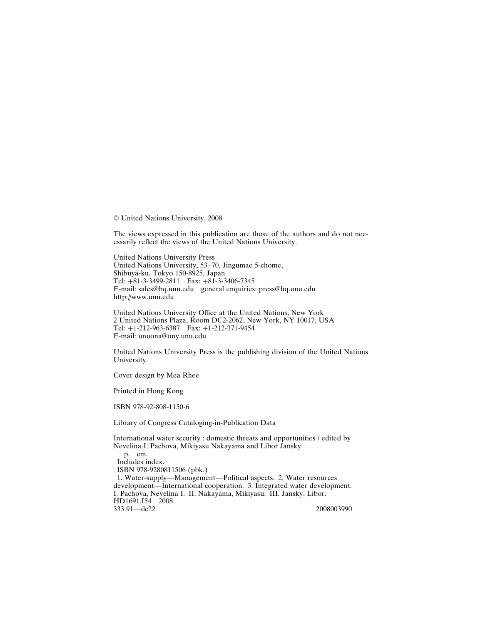*6* United Nations University, 2008

The views expressed in this publication are those of the authors and do not necessarily reflect the views of the United Nations University.

United Nations University Press United Nations University, 53–70, Jingumae 5-chome, Shibuya-ku, Tokyo 150-8925, Japan Tel:  $+81-3-3499-2811$  Fax:  $+81-3-3406-7345$ E-mail: sales@hq.unu.edu general enquiries: press@hq.unu.edu http://www.unu.edu

United Nations University Office at the United Nations, New York 2 United Nations Plaza, Room DC2-2062, New York, NY 10017, USA Tel: +1-212-963-6387 Fax: +1-212-371-9454 E-mail: unuona@ony.unu.edu

United Nations University Press is the publishing division of the United Nations University.

Cover design by Mea Rhee

Printed in Hong Kong

ISBN 978-92-808-1150-6

Library of Congress Cataloging-in-Publication Data

International water security : domestic threats and opportunities / edited by Nevelina I. Pachova, Mikiyasu Nakayama and Libor Jansky.

p. cm. Includes index. ISBN 978-9280811506 (pbk.) 1. Water-supply—Management—Political aspects. 2. Water resources development—International cooperation. 3. Integrated water development. I. Pachova, Nevelina I. II. Nakayama, Mikiyasu. III. Jansky, Libor. HD1691.I54 2008 333.91—dc22 2008003990